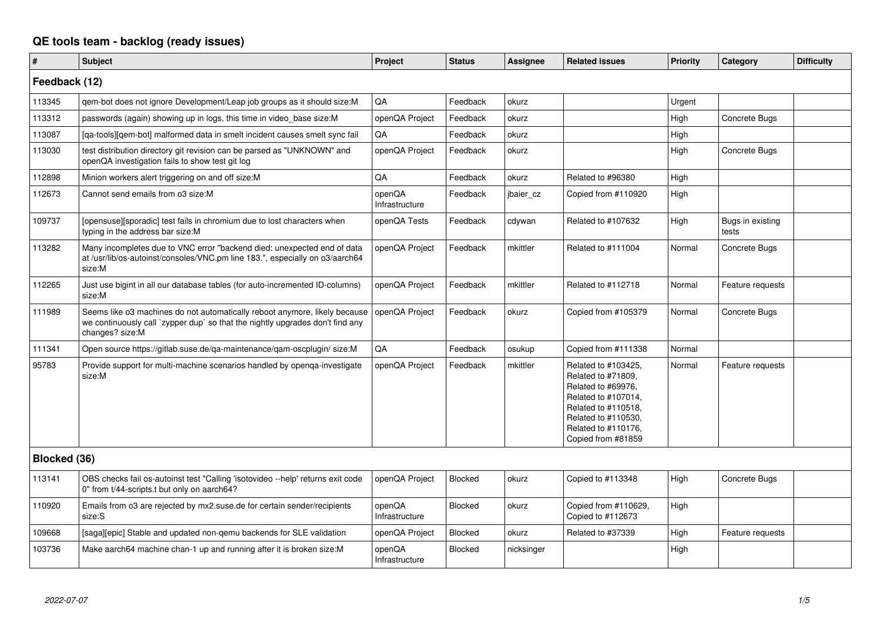## **QE tools team - backlog (ready issues)**

| #             | Subject                                                                                                                                                                        | Project                  | <b>Status</b>  | <b>Assignee</b> | <b>Related issues</b>                                                                                                                                                             | <b>Priority</b> | Category                  | <b>Difficulty</b> |
|---------------|--------------------------------------------------------------------------------------------------------------------------------------------------------------------------------|--------------------------|----------------|-----------------|-----------------------------------------------------------------------------------------------------------------------------------------------------------------------------------|-----------------|---------------------------|-------------------|
| Feedback (12) |                                                                                                                                                                                |                          |                |                 |                                                                                                                                                                                   |                 |                           |                   |
| 113345        | gem-bot does not ignore Development/Leap job groups as it should size: M                                                                                                       | QA                       | Feedback       | okurz           |                                                                                                                                                                                   | Urgent          |                           |                   |
| 113312        | passwords (again) showing up in logs, this time in video_base size:M                                                                                                           | openQA Project           | Feedback       | okurz           |                                                                                                                                                                                   | High            | Concrete Bugs             |                   |
| 113087        | [ga-tools][gem-bot] malformed data in smelt incident causes smelt sync fail                                                                                                    | QA                       | Feedback       | okurz           |                                                                                                                                                                                   | High            |                           |                   |
| 113030        | test distribution directory git revision can be parsed as "UNKNOWN" and<br>openQA investigation fails to show test git log                                                     | openQA Project           | Feedback       | okurz           |                                                                                                                                                                                   | High            | Concrete Bugs             |                   |
| 112898        | Minion workers alert triggering on and off size:M                                                                                                                              | QA                       | Feedback       | okurz           | Related to #96380                                                                                                                                                                 | High            |                           |                   |
| 112673        | Cannot send emails from o3 size:M                                                                                                                                              | openQA<br>Infrastructure | Feedback       | jbaier_cz       | Copied from #110920                                                                                                                                                               | High            |                           |                   |
| 109737        | [opensuse][sporadic] test fails in chromium due to lost characters when<br>typing in the address bar size:M                                                                    | openQA Tests             | Feedback       | cdywan          | Related to #107632                                                                                                                                                                | High            | Bugs in existing<br>tests |                   |
| 113282        | Many incompletes due to VNC error "backend died: unexpected end of data<br>at /usr/lib/os-autoinst/consoles/VNC.pm line 183.", especially on o3/aarch64<br>size:M              | openQA Project           | Feedback       | mkittler        | Related to #111004                                                                                                                                                                | Normal          | Concrete Bugs             |                   |
| 112265        | Just use bigint in all our database tables (for auto-incremented ID-columns)<br>size:M                                                                                         | openQA Project           | Feedback       | mkittler        | Related to #112718                                                                                                                                                                | Normal          | Feature requests          |                   |
| 111989        | Seems like o3 machines do not automatically reboot anymore, likely because<br>we continuously call `zypper dup` so that the nightly upgrades don't find any<br>changes? size:M | openQA Project           | Feedback       | okurz           | Copied from #105379                                                                                                                                                               | Normal          | Concrete Bugs             |                   |
| 111341        | Open source https://gitlab.suse.de/qa-maintenance/qam-oscplugin/ size:M                                                                                                        | QA                       | Feedback       | osukup          | Copied from #111338                                                                                                                                                               | Normal          |                           |                   |
| 95783         | Provide support for multi-machine scenarios handled by openqa-investigate<br>size:M                                                                                            | openQA Project           | Feedback       | mkittler        | Related to #103425,<br>Related to #71809,<br>Related to #69976,<br>Related to #107014,<br>Related to #110518,<br>Related to #110530,<br>Related to #110176,<br>Copied from #81859 | Normal          | Feature requests          |                   |
| Blocked (36)  |                                                                                                                                                                                |                          |                |                 |                                                                                                                                                                                   |                 |                           |                   |
| 113141        | OBS checks fail os-autoinst test "Calling 'isotovideo --help' returns exit code<br>0" from t/44-scripts.t but only on aarch64?                                                 | openQA Project           | <b>Blocked</b> | okurz           | Copied to #113348                                                                                                                                                                 | High            | Concrete Bugs             |                   |
| 110920        | Emails from o3 are rejected by mx2.suse.de for certain sender/recipients<br>size:S                                                                                             | openQA<br>Infrastructure | <b>Blocked</b> | okurz           | Copied from #110629,<br>Copied to #112673                                                                                                                                         | High            |                           |                   |
| 109668        | [saga][epic] Stable and updated non-qemu backends for SLE validation                                                                                                           | openQA Project           | <b>Blocked</b> | okurz           | Related to #37339                                                                                                                                                                 | High            | Feature requests          |                   |
| 103736        | Make aarch64 machine chan-1 up and running after it is broken size:M                                                                                                           | openQA<br>Infrastructure | <b>Blocked</b> | nicksinger      |                                                                                                                                                                                   | High            |                           |                   |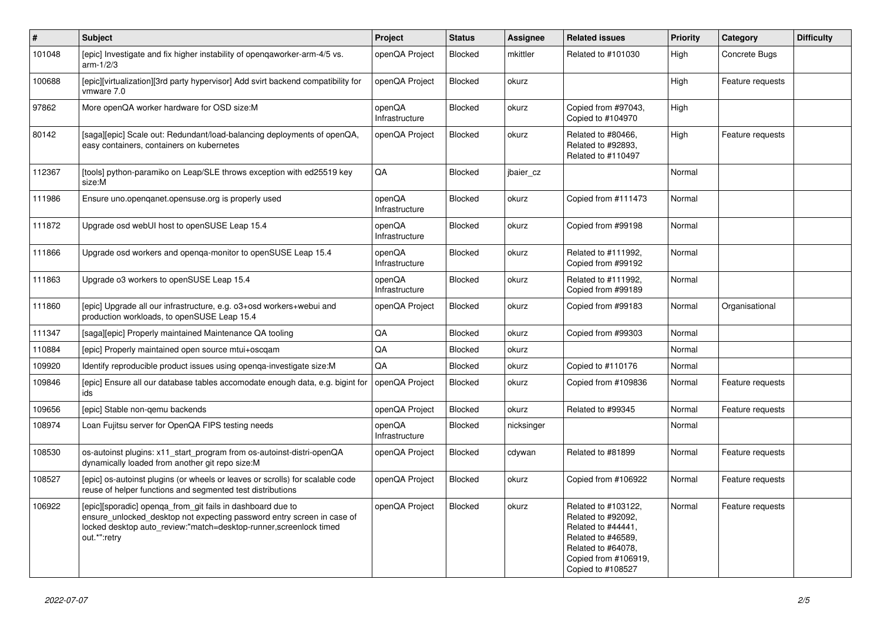| $\vert$ # | <b>Subject</b>                                                                                                                                                                                                             | <b>Project</b>           | <b>Status</b>  | <b>Assignee</b> | <b>Related issues</b>                                                                                                                                    | <b>Priority</b> | Category         | <b>Difficulty</b> |
|-----------|----------------------------------------------------------------------------------------------------------------------------------------------------------------------------------------------------------------------------|--------------------------|----------------|-----------------|----------------------------------------------------------------------------------------------------------------------------------------------------------|-----------------|------------------|-------------------|
| 101048    | [epic] Investigate and fix higher instability of opengaworker-arm-4/5 vs.<br>$arm-1/2/3$                                                                                                                                   | openQA Project           | <b>Blocked</b> | mkittler        | Related to #101030                                                                                                                                       | High            | Concrete Bugs    |                   |
| 100688    | [epic][virtualization][3rd party hypervisor] Add svirt backend compatibility for<br>vmware 7.0                                                                                                                             | openQA Project           | <b>Blocked</b> | okurz           |                                                                                                                                                          | High            | Feature requests |                   |
| 97862     | More openQA worker hardware for OSD size:M                                                                                                                                                                                 | openQA<br>Infrastructure | <b>Blocked</b> | okurz           | Copied from #97043,<br>Copied to #104970                                                                                                                 | High            |                  |                   |
| 80142     | [saga][epic] Scale out: Redundant/load-balancing deployments of openQA,<br>easy containers, containers on kubernetes                                                                                                       | openQA Project           | Blocked        | okurz           | Related to #80466,<br>Related to #92893,<br>Related to #110497                                                                                           | High            | Feature requests |                   |
| 112367    | [tools] python-paramiko on Leap/SLE throws exception with ed25519 key<br>size:M                                                                                                                                            | QA                       | <b>Blocked</b> | jbaier cz       |                                                                                                                                                          | Normal          |                  |                   |
| 111986    | Ensure uno.openganet.opensuse.org is properly used                                                                                                                                                                         | openQA<br>Infrastructure | <b>Blocked</b> | okurz           | Copied from #111473                                                                                                                                      | Normal          |                  |                   |
| 111872    | Upgrade osd webUI host to openSUSE Leap 15.4                                                                                                                                                                               | openQA<br>Infrastructure | Blocked        | okurz           | Copied from #99198                                                                                                                                       | Normal          |                  |                   |
| 111866    | Upgrade osd workers and openga-monitor to openSUSE Leap 15.4                                                                                                                                                               | openQA<br>Infrastructure | <b>Blocked</b> | okurz           | Related to #111992.<br>Copied from #99192                                                                                                                | Normal          |                  |                   |
| 111863    | Upgrade o3 workers to openSUSE Leap 15.4                                                                                                                                                                                   | openQA<br>Infrastructure | Blocked        | okurz           | Related to #111992,<br>Copied from #99189                                                                                                                | Normal          |                  |                   |
| 111860    | [epic] Upgrade all our infrastructure, e.g. o3+osd workers+webui and<br>production workloads, to openSUSE Leap 15.4                                                                                                        | openQA Project           | <b>Blocked</b> | okurz           | Copied from #99183                                                                                                                                       | Normal          | Organisational   |                   |
| 111347    | [saga][epic] Properly maintained Maintenance QA tooling                                                                                                                                                                    | QA                       | <b>Blocked</b> | okurz           | Copied from #99303                                                                                                                                       | Normal          |                  |                   |
| 110884    | [epic] Properly maintained open source mtui+oscqam                                                                                                                                                                         | QA                       | <b>Blocked</b> | okurz           |                                                                                                                                                          | Normal          |                  |                   |
| 109920    | Identify reproducible product issues using openga-investigate size: M                                                                                                                                                      | QA                       | <b>Blocked</b> | okurz           | Copied to #110176                                                                                                                                        | Normal          |                  |                   |
| 109846    | [epic] Ensure all our database tables accomodate enough data, e.g. bigint for<br>ids                                                                                                                                       | openQA Project           | Blocked        | okurz           | Copied from #109836                                                                                                                                      | Normal          | Feature requests |                   |
| 109656    | [epic] Stable non-gemu backends                                                                                                                                                                                            | openQA Project           | <b>Blocked</b> | okurz           | Related to #99345                                                                                                                                        | Normal          | Feature requests |                   |
| 108974    | Loan Fujitsu server for OpenQA FIPS testing needs                                                                                                                                                                          | openQA<br>Infrastructure | <b>Blocked</b> | nicksinger      |                                                                                                                                                          | Normal          |                  |                   |
| 108530    | os-autoinst plugins: x11 start program from os-autoinst-distri-openQA<br>dynamically loaded from another git repo size:M                                                                                                   | openQA Project           | <b>Blocked</b> | cdywan          | Related to #81899                                                                                                                                        | Normal          | Feature requests |                   |
| 108527    | [epic] os-autoinst plugins (or wheels or leaves or scrolls) for scalable code<br>reuse of helper functions and segmented test distributions                                                                                | openQA Project           | <b>Blocked</b> | okurz           | Copied from #106922                                                                                                                                      | Normal          | Feature requests |                   |
| 106922    | [epic][sporadic] openqa_from_git fails in dashboard due to<br>ensure unlocked desktop not expecting password entry screen in case of<br>locked desktop auto review:"match=desktop-runner, screenlock timed<br>out.*":retry | openQA Project           | <b>Blocked</b> | okurz           | Related to #103122,<br>Related to #92092,<br>Related to #44441,<br>Related to #46589,<br>Related to #64078,<br>Copied from #106919,<br>Copied to #108527 | Normal          | Feature requests |                   |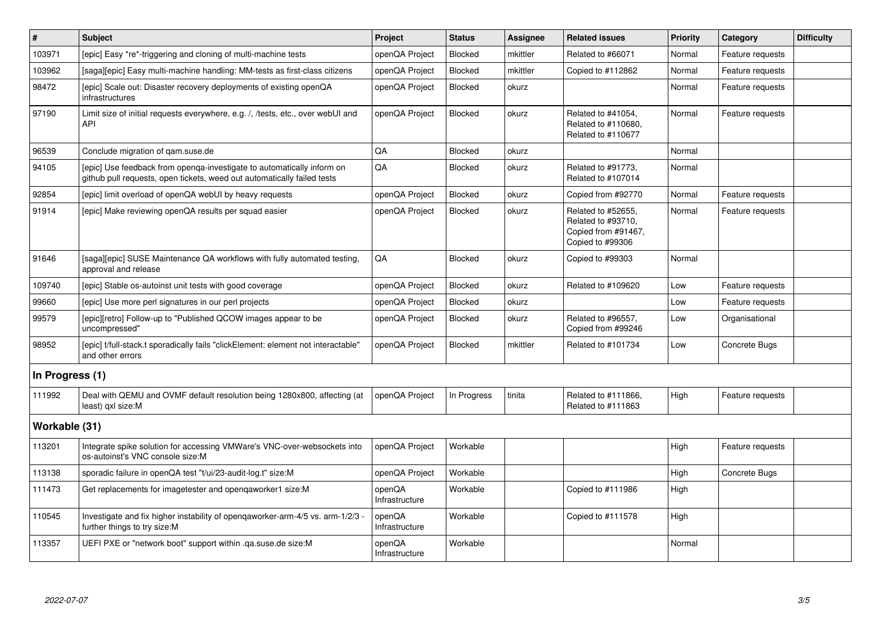| $\vert$ #       | <b>Subject</b>                                                                                                                                    | Project                  | <b>Status</b>  | Assignee | <b>Related issues</b>                                                               | Priority | Category         | <b>Difficulty</b> |
|-----------------|---------------------------------------------------------------------------------------------------------------------------------------------------|--------------------------|----------------|----------|-------------------------------------------------------------------------------------|----------|------------------|-------------------|
| 103971          | [epic] Easy *re*-triggering and cloning of multi-machine tests                                                                                    | openQA Project           | <b>Blocked</b> | mkittler | Related to #66071                                                                   | Normal   | Feature requests |                   |
| 103962          | [saga][epic] Easy multi-machine handling: MM-tests as first-class citizens                                                                        | openQA Project           | <b>Blocked</b> | mkittler | Copied to #112862                                                                   | Normal   | Feature requests |                   |
| 98472           | [epic] Scale out: Disaster recovery deployments of existing openQA<br>infrastructures                                                             | openQA Project           | Blocked        | okurz    |                                                                                     | Normal   | Feature requests |                   |
| 97190           | Limit size of initial requests everywhere, e.g. /, /tests, etc., over webUI and<br><b>API</b>                                                     | openQA Project           | <b>Blocked</b> | okurz    | Related to #41054,<br>Related to #110680,<br>Related to #110677                     | Normal   | Feature requests |                   |
| 96539           | Conclude migration of gam.suse.de                                                                                                                 | QA                       | <b>Blocked</b> | okurz    |                                                                                     | Normal   |                  |                   |
| 94105           | [epic] Use feedback from openga-investigate to automatically inform on<br>github pull requests, open tickets, weed out automatically failed tests | QA                       | <b>Blocked</b> | okurz    | Related to #91773,<br>Related to #107014                                            | Normal   |                  |                   |
| 92854           | [epic] limit overload of openQA webUI by heavy requests                                                                                           | openQA Project           | <b>Blocked</b> | okurz    | Copied from #92770                                                                  | Normal   | Feature requests |                   |
| 91914           | [epic] Make reviewing openQA results per squad easier                                                                                             | openQA Project           | Blocked        | okurz    | Related to #52655,<br>Related to #93710,<br>Copied from #91467,<br>Copied to #99306 | Normal   | Feature requests |                   |
| 91646           | [saga][epic] SUSE Maintenance QA workflows with fully automated testing,<br>approval and release                                                  | QA                       | Blocked        | okurz    | Copied to #99303                                                                    | Normal   |                  |                   |
| 109740          | [epic] Stable os-autoinst unit tests with good coverage                                                                                           | openQA Project           | <b>Blocked</b> | okurz    | Related to #109620                                                                  | Low      | Feature requests |                   |
| 99660           | [epic] Use more perl signatures in our perl projects                                                                                              | openQA Project           | Blocked        | okurz    |                                                                                     | Low      | Feature requests |                   |
| 99579           | [epic][retro] Follow-up to "Published QCOW images appear to be<br>uncompressed"                                                                   | openQA Project           | <b>Blocked</b> | okurz    | Related to #96557,<br>Copied from #99246                                            | Low      | Organisational   |                   |
| 98952           | [epic] t/full-stack.t sporadically fails "clickElement: element not interactable"<br>and other errors                                             | openQA Project           | <b>Blocked</b> | mkittler | Related to #101734                                                                  | Low      | Concrete Bugs    |                   |
| In Progress (1) |                                                                                                                                                   |                          |                |          |                                                                                     |          |                  |                   |
| 111992          | Deal with QEMU and OVMF default resolution being 1280x800, affecting (at<br>least) gxl size:M                                                     | openQA Project           | In Progress    | tinita   | Related to #111866,<br>Related to #111863                                           | High     | Feature requests |                   |
| Workable (31)   |                                                                                                                                                   |                          |                |          |                                                                                     |          |                  |                   |
| 113201          | Integrate spike solution for accessing VMWare's VNC-over-websockets into<br>os-autoinst's VNC console size:M                                      | openQA Project           | Workable       |          |                                                                                     | High     | Feature requests |                   |
| 113138          | sporadic failure in openQA test "t/ui/23-audit-log.t" size:M                                                                                      | openQA Project           | Workable       |          |                                                                                     | High     | Concrete Bugs    |                   |
| 111473          | Get replacements for imagetester and opengaworker1 size:M                                                                                         | openQA<br>Infrastructure | Workable       |          | Copied to #111986                                                                   | High     |                  |                   |
| 110545          | Investigate and fix higher instability of openqaworker-arm-4/5 vs. arm-1/2/3<br>further things to try size: M                                     | openQA<br>Infrastructure | Workable       |          | Copied to #111578                                                                   | High     |                  |                   |
| 113357          | UEFI PXE or "network boot" support within .ga.suse.de size:M                                                                                      | openQA<br>Infrastructure | Workable       |          |                                                                                     | Normal   |                  |                   |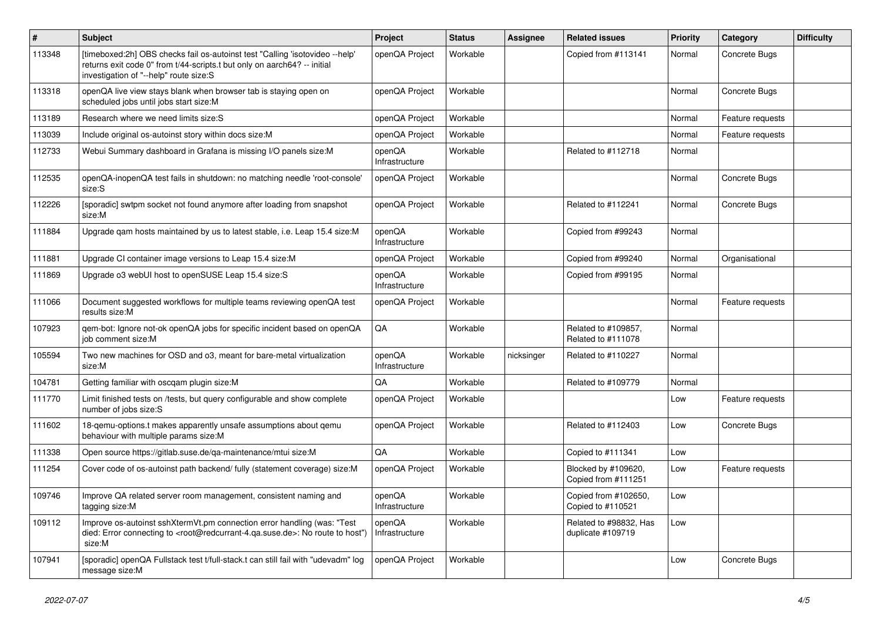| $\#$   | <b>Subject</b>                                                                                                                                                                                     | <b>Project</b>           | <b>Status</b> | <b>Assignee</b> | <b>Related issues</b>                       | <b>Priority</b> | Category         | <b>Difficulty</b> |
|--------|----------------------------------------------------------------------------------------------------------------------------------------------------------------------------------------------------|--------------------------|---------------|-----------------|---------------------------------------------|-----------------|------------------|-------------------|
| 113348 | [timeboxed:2h] OBS checks fail os-autoinst test "Calling 'isotovideo --help'<br>returns exit code 0" from t/44-scripts.t but only on aarch64? -- initial<br>investigation of "--help" route size:S | openQA Project           | Workable      |                 | Copied from #113141                         | Normal          | Concrete Bugs    |                   |
| 113318 | openQA live view stays blank when browser tab is staying open on<br>scheduled jobs until jobs start size:M                                                                                         | openQA Project           | Workable      |                 |                                             | Normal          | Concrete Bugs    |                   |
| 113189 | Research where we need limits size:S                                                                                                                                                               | openQA Project           | Workable      |                 |                                             | Normal          | Feature requests |                   |
| 113039 | Include original os-autoinst story within docs size: M                                                                                                                                             | openQA Project           | Workable      |                 |                                             | Normal          | Feature requests |                   |
| 112733 | Webui Summary dashboard in Grafana is missing I/O panels size: M                                                                                                                                   | openQA<br>Infrastructure | Workable      |                 | Related to #112718                          | Normal          |                  |                   |
| 112535 | openQA-inopenQA test fails in shutdown: no matching needle 'root-console'<br>size:S                                                                                                                | openQA Project           | Workable      |                 |                                             | Normal          | Concrete Bugs    |                   |
| 112226 | [sporadic] swtpm socket not found anymore after loading from snapshot<br>size:M                                                                                                                    | openQA Project           | Workable      |                 | Related to #112241                          | Normal          | Concrete Bugs    |                   |
| 111884 | Upgrade qam hosts maintained by us to latest stable, i.e. Leap 15.4 size:M                                                                                                                         | openQA<br>Infrastructure | Workable      |                 | Copied from #99243                          | Normal          |                  |                   |
| 111881 | Upgrade CI container image versions to Leap 15.4 size:M                                                                                                                                            | openQA Project           | Workable      |                 | Copied from #99240                          | Normal          | Organisational   |                   |
| 111869 | Upgrade o3 webUI host to openSUSE Leap 15.4 size:S                                                                                                                                                 | openQA<br>Infrastructure | Workable      |                 | Copied from #99195                          | Normal          |                  |                   |
| 111066 | Document suggested workflows for multiple teams reviewing openQA test<br>results size:M                                                                                                            | openQA Project           | Workable      |                 |                                             | Normal          | Feature requests |                   |
| 107923 | qem-bot: Ignore not-ok openQA jobs for specific incident based on openQA<br>iob comment size:M                                                                                                     | QA                       | Workable      |                 | Related to #109857,<br>Related to #111078   | Normal          |                  |                   |
| 105594 | Two new machines for OSD and o3, meant for bare-metal virtualization<br>size:M                                                                                                                     | openQA<br>Infrastructure | Workable      | nicksinger      | Related to #110227                          | Normal          |                  |                   |
| 104781 | Getting familiar with oscqam plugin size:M                                                                                                                                                         | QA                       | Workable      |                 | Related to #109779                          | Normal          |                  |                   |
| 111770 | Limit finished tests on /tests, but query configurable and show complete<br>number of jobs size:S                                                                                                  | openQA Project           | Workable      |                 |                                             | Low             | Feature requests |                   |
| 111602 | 18-gemu-options.t makes apparently unsafe assumptions about gemu<br>behaviour with multiple params size:M                                                                                          | openQA Project           | Workable      |                 | Related to #112403                          | Low             | Concrete Bugs    |                   |
| 111338 | Open source https://gitlab.suse.de/qa-maintenance/mtui size:M                                                                                                                                      | QA                       | Workable      |                 | Copied to #111341                           | Low             |                  |                   |
| 111254 | Cover code of os-autoinst path backend/ fully (statement coverage) size:M                                                                                                                          | openQA Project           | Workable      |                 | Blocked by #109620,<br>Copied from #111251  | Low             | Feature requests |                   |
| 109746 | Improve QA related server room management, consistent naming and<br>tagging size:M                                                                                                                 | openQA<br>Infrastructure | Workable      |                 | Copied from #102650,<br>Copied to #110521   | Low             |                  |                   |
| 109112 | Improve os-autoinst sshXtermVt.pm connection error handling (was: "Test<br>died: Error connecting to <root@redcurrant-4.ga.suse.de>: No route to host")<br/>size:M</root@redcurrant-4.ga.suse.de>  | openQA<br>Infrastructure | Workable      |                 | Related to #98832. Has<br>duplicate #109719 | Low             |                  |                   |
| 107941 | [sporadic] openQA Fullstack test t/full-stack.t can still fail with "udevadm" log<br>message size:M                                                                                                | openQA Project           | Workable      |                 |                                             | Low             | Concrete Bugs    |                   |